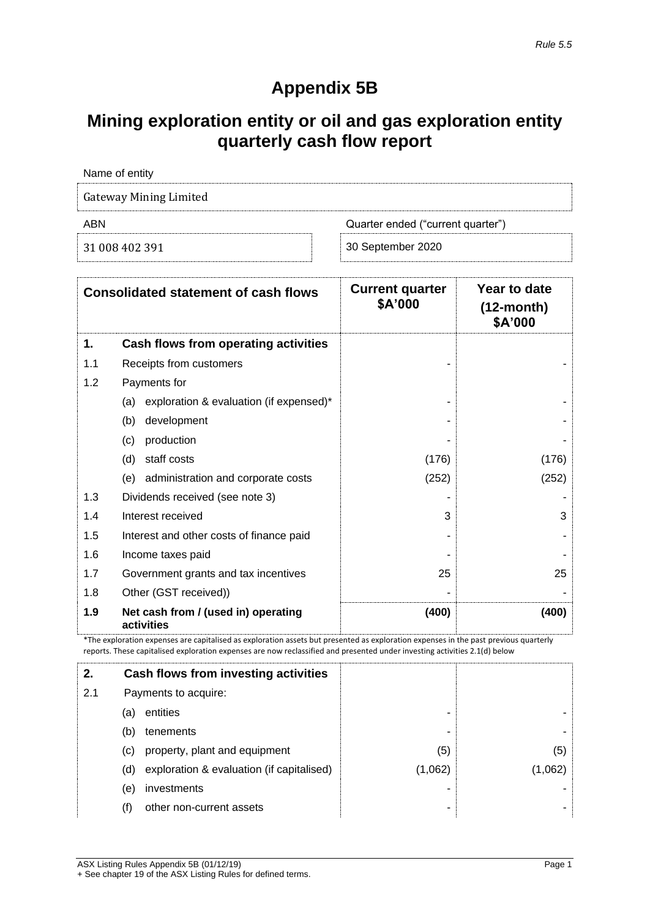# **Appendix 5B**

# **Mining exploration entity or oil and gas exploration entity quarterly cash flow report**

| Name of entity         |                                   |
|------------------------|-----------------------------------|
| Gateway Mining Limited |                                   |
| ABN                    | Quarter ended ("current quarter") |
| 31 008 402 391         | 30 September 2020                 |

|     | <b>Consolidated statement of cash flows</b>       | <b>Current quarter</b><br>\$A'000 | Year to date<br>$(12$ -month $)$<br>\$A'000 |
|-----|---------------------------------------------------|-----------------------------------|---------------------------------------------|
| 1.  | Cash flows from operating activities              |                                   |                                             |
| 1.1 | Receipts from customers                           |                                   |                                             |
| 1.2 | Payments for                                      |                                   |                                             |
|     | exploration & evaluation (if expensed)*<br>(a)    |                                   |                                             |
|     | (b)<br>development                                |                                   |                                             |
|     | production<br>(c)                                 |                                   |                                             |
|     | (d)<br>staff costs                                | (176)                             | (176)                                       |
|     | administration and corporate costs<br>(e)         | (252)                             | (252)                                       |
| 1.3 | Dividends received (see note 3)                   |                                   |                                             |
| 1.4 | Interest received                                 | 3                                 | 3                                           |
| 1.5 | Interest and other costs of finance paid          |                                   |                                             |
| 1.6 | Income taxes paid                                 |                                   |                                             |
| 1.7 | Government grants and tax incentives              | 25                                | 25                                          |
| 1.8 | Other (GST received))                             |                                   |                                             |
| 1.9 | Net cash from / (used in) operating<br>activities | (400)                             | (400)                                       |

\*The exploration expenses are capitalised as exploration assets but presented as exploration expenses in the past previous quarterly reports. These capitalised exploration expenses are now reclassified and presented under investing activities 2.1(d) below

| 2.  |     | Cash flows from investing activities          |         |         |
|-----|-----|-----------------------------------------------|---------|---------|
| 2.1 |     | Payments to acquire:                          |         |         |
|     | (a) | entities                                      |         |         |
|     | (b) | tenements                                     | ۰       |         |
|     | (C) | property, plant and equipment                 | (5)     | (5)     |
|     |     | (d) exploration & evaluation (if capitalised) | (1,062) | (1,062) |
|     | (e) | investments                                   |         |         |
|     |     | other non-current assets                      |         |         |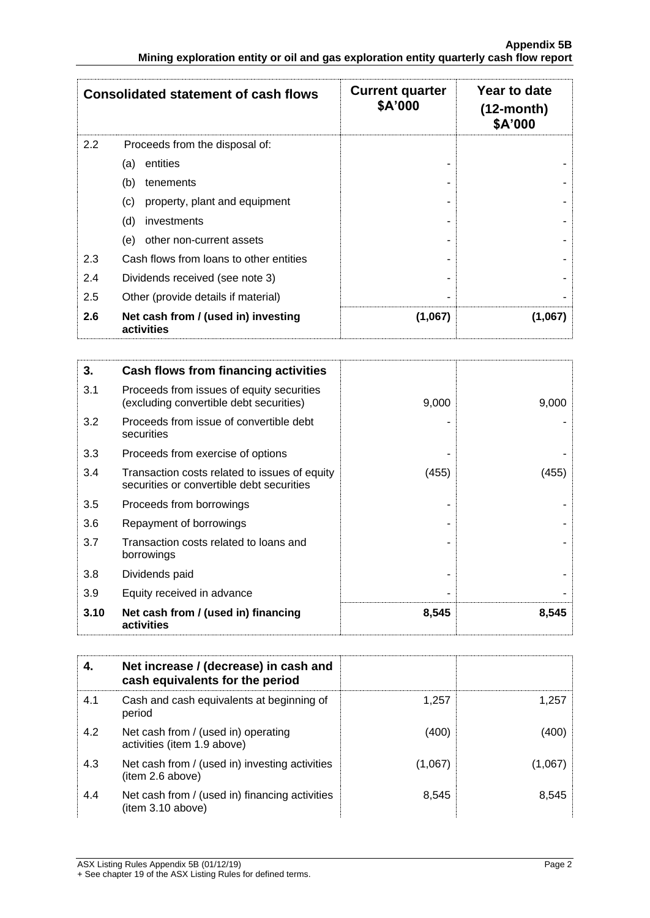|     | <b>Consolidated statement of cash flows</b>       | <b>Current quarter</b><br>\$A'000 | Year to date<br>$(12$ -month $)$<br>\$A'000 |
|-----|---------------------------------------------------|-----------------------------------|---------------------------------------------|
| 2.2 | Proceeds from the disposal of:                    |                                   |                                             |
|     | entities<br>(a)                                   |                                   |                                             |
|     | (b)<br>tenements                                  |                                   |                                             |
|     | property, plant and equipment<br>(c)              |                                   |                                             |
|     | (d)<br>investments                                |                                   |                                             |
|     | other non-current assets<br>(e)                   |                                   |                                             |
| 2.3 | Cash flows from loans to other entities           |                                   |                                             |
| 2.4 | Dividends received (see note 3)                   |                                   |                                             |
| 2.5 | Other (provide details if material)               |                                   |                                             |
| 2.6 | Net cash from / (used in) investing<br>activities | (1,067)                           | (1,067)                                     |

| 3.   | Cash flows from financing activities                                                       |       |       |
|------|--------------------------------------------------------------------------------------------|-------|-------|
| 3.1  | Proceeds from issues of equity securities<br>(excluding convertible debt securities)       | 9,000 | 9,000 |
| 3.2  | Proceeds from issue of convertible debt<br>securities                                      |       |       |
| 3.3  | Proceeds from exercise of options                                                          |       |       |
| 3.4  | Transaction costs related to issues of equity<br>securities or convertible debt securities | (455) | (455) |
| 3.5  | Proceeds from borrowings                                                                   |       |       |
| 3.6  | Repayment of borrowings                                                                    |       |       |
| 3.7  | Transaction costs related to loans and<br>borrowings                                       |       |       |
| 3.8  | Dividends paid                                                                             |       |       |
| 3.9  | Equity received in advance                                                                 |       |       |
| 3.10 | Net cash from / (used in) financing<br>activities                                          | 8,545 | 8,545 |

|     | Net increase / (decrease) in cash and<br>cash equivalents for the period |         |         |
|-----|--------------------------------------------------------------------------|---------|---------|
| 4.1 | Cash and cash equivalents at beginning of<br>period                      | 1,257   | 1.257   |
| 4.2 | Net cash from / (used in) operating<br>activities (item 1.9 above)       | (400)   | (400)   |
| 4.3 | Net cash from / (used in) investing activities<br>(item 2.6 above)       | (1,067) | (1,067) |
| 4.4 | Net cash from / (used in) financing activities<br>item 3.10 above)       | 8,545   | 8.545   |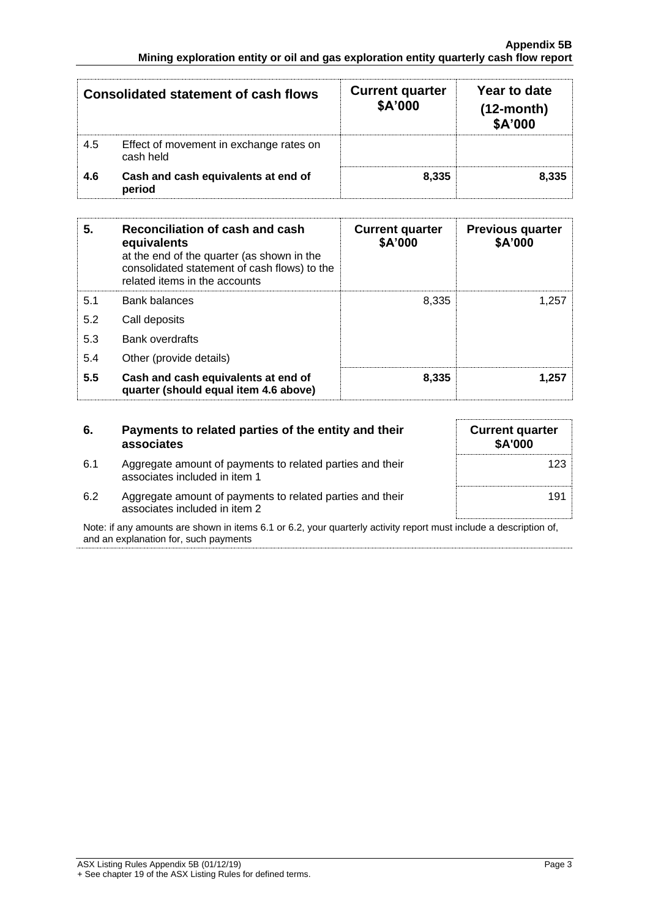|     | <b>Consolidated statement of cash flows</b>          | <b>Current quarter</b><br>\$A'000 | Year to date<br>$(12$ -month)<br>\$A'000 |
|-----|------------------------------------------------------|-----------------------------------|------------------------------------------|
| 4.5 | Effect of movement in exchange rates on<br>cash held |                                   |                                          |
| 4.6 | Cash and cash equivalents at end of<br>period        | 8.335                             | 8.335                                    |

| 5.  | Reconciliation of cash and cash<br>equivalents<br>at the end of the quarter (as shown in the<br>consolidated statement of cash flows) to the<br>related items in the accounts | <b>Current quarter</b><br>\$A'000 | <b>Previous quarter</b><br>\$A'000 |
|-----|-------------------------------------------------------------------------------------------------------------------------------------------------------------------------------|-----------------------------------|------------------------------------|
| 5.1 | <b>Bank balances</b>                                                                                                                                                          | 8.335                             | 1.257                              |
| 5.2 | Call deposits                                                                                                                                                                 |                                   |                                    |
| 5.3 | <b>Bank overdrafts</b>                                                                                                                                                        |                                   |                                    |
| 5.4 | Other (provide details)                                                                                                                                                       |                                   |                                    |
| 5.5 | Cash and cash equivalents at end of<br>quarter (should equal item 4.6 above)                                                                                                  | 8,335                             | 1.257                              |

| 6.  | Payments to related parties of the entity and their<br>associates                          | <b>Current quarter</b><br>\$A'000 |
|-----|--------------------------------------------------------------------------------------------|-----------------------------------|
| 6.1 | Aggregate amount of payments to related parties and their<br>associates included in item 1 | 123                               |
| 6.2 | Aggregate amount of payments to related parties and their<br>associates included in item 2 | 191                               |

Note: if any amounts are shown in items 6.1 or 6.2, your quarterly activity report must include a description of, and an explanation for, such payments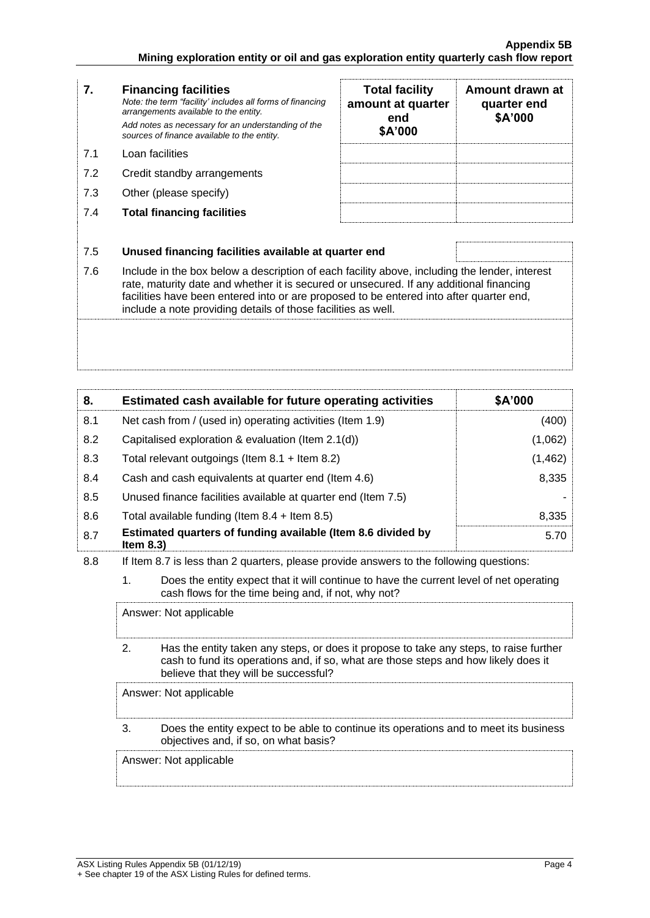| 7.  | <b>Financing facilities</b><br>Note: the term "facility' includes all forms of financing<br>arrangements available to the entity.<br>Add notes as necessary for an understanding of the<br>sources of finance available to the entity.                                                                                                               | <b>Total facility</b><br>amount at quarter<br>end<br>\$A'000 | Amount drawn at<br>quarter end<br>\$A'000 |
|-----|------------------------------------------------------------------------------------------------------------------------------------------------------------------------------------------------------------------------------------------------------------------------------------------------------------------------------------------------------|--------------------------------------------------------------|-------------------------------------------|
| 7.1 | Loan facilities                                                                                                                                                                                                                                                                                                                                      |                                                              |                                           |
| 7.2 | Credit standby arrangements                                                                                                                                                                                                                                                                                                                          |                                                              |                                           |
| 7.3 | Other (please specify)                                                                                                                                                                                                                                                                                                                               |                                                              |                                           |
| 7.4 | <b>Total financing facilities</b>                                                                                                                                                                                                                                                                                                                    |                                                              |                                           |
|     |                                                                                                                                                                                                                                                                                                                                                      |                                                              |                                           |
| 7.5 | Unused financing facilities available at quarter end                                                                                                                                                                                                                                                                                                 |                                                              |                                           |
| 7.6 | Include in the box below a description of each facility above, including the lender, interest<br>rate, maturity date and whether it is secured or unsecured. If any additional financing<br>facilities have been entered into or are proposed to be entered into after quarter end,<br>include a note providing details of those facilities as well. |                                                              |                                           |

| 8.  | Estimated cash available for future operating activities                     | \$A'000  |
|-----|------------------------------------------------------------------------------|----------|
| 8.1 | Net cash from / (used in) operating activities (Item 1.9)                    | (400)    |
| 8.2 | Capitalised exploration & evaluation (Item 2.1(d))                           | (1,062)  |
| 8.3 | Total relevant outgoings (Item $8.1 +$ Item $8.2$ )                          | (1, 462) |
| 8.4 | Cash and cash equivalents at quarter end (Item 4.6)                          | 8,335    |
| 8.5 | Unused finance facilities available at quarter end (Item 7.5)                |          |
| 8.6 | Total available funding (Item $8.4 +$ Item $8.5$ )                           | 8,335    |
| 8.7 | Estimated quarters of funding available (Item 8.6 divided by<br>Item $8.3$ ) | 5.70     |

8.8 If Item 8.7 is less than 2 quarters, please provide answers to the following questions:

1. Does the entity expect that it will continue to have the current level of net operating cash flows for the time being and, if not, why not?

Answer: Not applicable

2. Has the entity taken any steps, or does it propose to take any steps, to raise further cash to fund its operations and, if so, what are those steps and how likely does it believe that they will be successful?

Answer: Not applicable

3. Does the entity expect to be able to continue its operations and to meet its business objectives and, if so, on what basis?

Answer: Not applicable